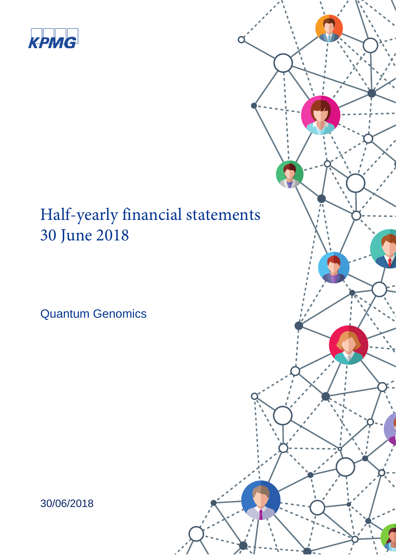

# Half-yearly financial statements 30 June 2018

Quantum Genomics



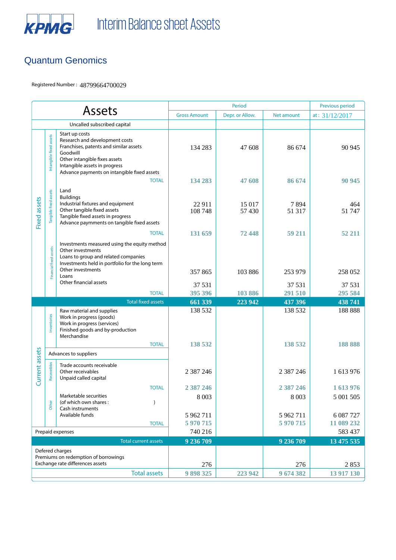

#### Quantum Genomics

Registered Number : 48799664700029

|                                                                                                                    |                         |                                                                                                                                                                                                                         | Period                 |                  |                        | Previous period         |
|--------------------------------------------------------------------------------------------------------------------|-------------------------|-------------------------------------------------------------------------------------------------------------------------------------------------------------------------------------------------------------------------|------------------------|------------------|------------------------|-------------------------|
| <b>Assets</b>                                                                                                      |                         | <b>Gross Amount</b>                                                                                                                                                                                                     | Depr. or Allow.        | Net amount       | at: $31/12/2017$       |                         |
| Uncalled subscribed capital                                                                                        |                         |                                                                                                                                                                                                                         |                        |                  |                        |                         |
| <b>Fixed assets</b>                                                                                                | Intangible fixed assets | Start up costs<br>Research and development costs<br>Franchises, patents and similar assets<br>Goodwill<br>Other intangible fixes assets<br>Intangible assets in progress<br>Advance payments on intangible fixed assets | 134 283                | 47 608           | 86 674                 | 90 945                  |
|                                                                                                                    |                         | <b>TOTAL</b>                                                                                                                                                                                                            | 134 283                | 47 608           | 86 674                 | 90 945                  |
|                                                                                                                    | Tangible fixed assets   | Land<br><b>Buildings</b><br>Industrial fixtures and equipment<br>Other tangible fixed assets<br>Tangible fixed assets in progress<br>Advance paymments on tangible fixed assets                                         | 22 911<br>108 748      | 15 017<br>57 430 | 7894<br>51 317         | 464<br>51 747           |
|                                                                                                                    |                         | <b>TOTAL</b>                                                                                                                                                                                                            | 131 659                | 72448            | 59 211                 | 52 211                  |
|                                                                                                                    | Financial fixed assets  | Investments measured using the equity method<br>Other investments<br>Loans to group and related companies<br>Investments held in portfolio for the long term<br>Other investments<br>Loans                              | 357865                 | 103 886          | 253 979                | 258 052                 |
|                                                                                                                    |                         | Other financial assets                                                                                                                                                                                                  | 37 531                 |                  | 37 531                 | 37 531                  |
|                                                                                                                    |                         | <b>TOTAL</b>                                                                                                                                                                                                            | 395 396                | 103 886          | 291 510                | 295 584                 |
|                                                                                                                    |                         | <b>Total fixed assets</b>                                                                                                                                                                                               | 661 339                | 223 942          | 437 396                | 438 741                 |
|                                                                                                                    | Inventories             | Raw material and supplies<br>Work in progress (goods)<br>Work in progress (services)<br>Finished goods and by-production<br>Merchandise                                                                                 | 138 532                |                  | 138 532                | 188 888                 |
|                                                                                                                    | <b>TOTAL</b>            |                                                                                                                                                                                                                         | 138 532                |                  | 138 532                | 188 888                 |
|                                                                                                                    | Advances to suppliers   |                                                                                                                                                                                                                         |                        |                  |                        |                         |
| Current assets                                                                                                     | Receveibles             | Trade accounts receivable<br>Other receivables<br>Unpaid called capital                                                                                                                                                 | 2 387 246              |                  | 2 3 8 7 2 4 6          | 1 613 976               |
|                                                                                                                    |                         | <b>TOTAL</b>                                                                                                                                                                                                            | 2 3 8 7 2 4 6          |                  | 2 387 246              | 1613976                 |
|                                                                                                                    | Other                   | Marketable securities<br>(of which own shares:<br>$\lambda$<br>Cash instruments                                                                                                                                         | 8 0 0 3                |                  | 8 0 0 3                | 5 001 505               |
|                                                                                                                    |                         | Available funds<br><b>TOTAL</b>                                                                                                                                                                                         | 5 962 711<br>5 970 715 |                  | 5 962 711<br>5 970 715 | 6 087 727<br>11 089 232 |
| Prepaid expenses                                                                                                   |                         |                                                                                                                                                                                                                         | 740 216                |                  |                        | 583 437                 |
| <b>Total current assets</b>                                                                                        |                         |                                                                                                                                                                                                                         | 9 236 709              |                  | 9 236 709              | 13 475 535              |
| Defered charges<br>Premiums on redemption of borrowings<br>Exchange rate differences assets<br><b>Total assets</b> |                         | 276<br>9898325                                                                                                                                                                                                          | 223 942                | 276<br>9 674 382 | 2853<br>13 917 130     |                         |
|                                                                                                                    |                         |                                                                                                                                                                                                                         |                        |                  |                        |                         |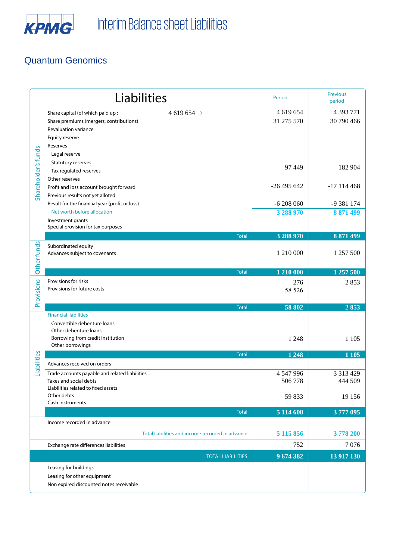

# Quantum Genomics

|                     | Liabilities                                                                                                                                                       | Period                         | <b>Previous</b><br>period           |
|---------------------|-------------------------------------------------------------------------------------------------------------------------------------------------------------------|--------------------------------|-------------------------------------|
| Shareholder's funds | 4 619 654 )<br>Share capital (of which paid up:<br>Share premiums (mergers, contributions)<br>Revaluation variance<br>Equity reserve<br>Reserves<br>Legal reserve | 4 619 654<br>31 275 570        | 4 3 9 3 7 7 1<br>30 790 466         |
|                     | Statutory reserves<br>Tax regulated reserves<br>Other reserves                                                                                                    | 97 449                         | 182 904                             |
|                     | Profit and loss account brought forward<br>Previous results not yet alloted                                                                                       | $-26495642$                    | $-17$ 114 468                       |
|                     | Result for the financial year (profit or loss)<br>Net worth before allocation<br>Investment grants                                                                | $-6208060$<br>3 288 970        | -9 381 174<br>8 871 499             |
|                     | Special provision for tax purposes                                                                                                                                |                                |                                     |
| Other funds         | <b>Total</b><br>Subordinated equity<br>Advances subject to covenants                                                                                              | 3 288 970<br>1 210 000         | 8 871 499<br>1 257 500              |
|                     | <b>Total</b>                                                                                                                                                      | 1 210 000                      | 1 257 500                           |
| Provisions          | Provisions for risks<br>Provisions for future costs                                                                                                               | 276<br>58 526                  | 2853                                |
|                     | <b>Total</b>                                                                                                                                                      | 58 802                         | 2853                                |
|                     | <b>Financial liabilities</b><br>Convertible debenture loans<br>Other debenture loans<br>Borrowing from credit institution<br>Other borrowings                     | 1 2 4 8                        | 1 1 0 5                             |
|                     | <b>Total</b>                                                                                                                                                      | 1 2 4 8                        | 1 1 0 5                             |
| Liabilities         | Advances received on orders                                                                                                                                       |                                |                                     |
|                     | Trade accounts payable and related liabilities<br>Taxes and social debts<br>Liabilities related to fixed assets<br>Other debts                                    | 4 547 996<br>506 778<br>59 833 | 3 3 1 3 4 2 9<br>444 509<br>19 15 6 |
|                     | Cash instruments                                                                                                                                                  |                                |                                     |
|                     | <b>Total</b>                                                                                                                                                      | 5 114 608                      | 3777 095                            |
|                     | Income recorded in advance                                                                                                                                        |                                |                                     |
|                     | Total liabilities and income recorded in advance                                                                                                                  | 5 115 856                      | 3778 200                            |
|                     | Exchange rate differences liabilities                                                                                                                             | 752                            | 7076                                |
|                     | <b>TOTAL LIABILITIES</b>                                                                                                                                          | 9674382                        | 13 917 130                          |
|                     | Leasing for buildings<br>Leasing for other equipment<br>Non expired discounted notes receivable                                                                   |                                |                                     |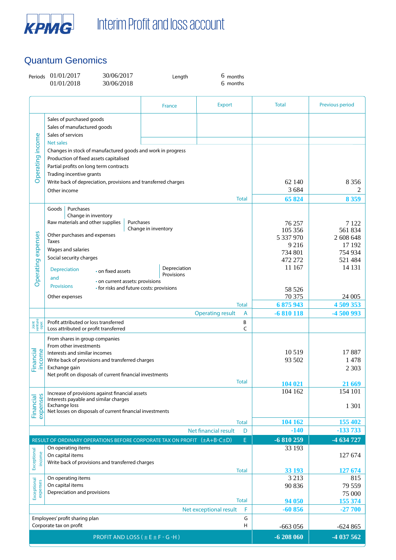

## Quantum Genomics

| Periods                   | 01/01/2017<br>30/06/2017<br>01/01/2018<br>30/06/2018                                                                                                                        | Length                           | $6$ months<br>6 months       |                                           |                                          |
|---------------------------|-----------------------------------------------------------------------------------------------------------------------------------------------------------------------------|----------------------------------|------------------------------|-------------------------------------------|------------------------------------------|
|                           |                                                                                                                                                                             | France                           | <b>Export</b>                | <b>Total</b>                              | Previous period                          |
|                           | Sales of purchased goods<br>Sales of manufactured goods<br>Sales of services<br><b>Net sales</b>                                                                            |                                  |                              |                                           |                                          |
| Operating income          | Changes in stock of manufactured goods and work in progress<br>Production of fixed assets capitalised<br>Partial profits on long term contracts<br>Trading incentive grants |                                  |                              |                                           |                                          |
|                           | Write back of depreciation, provisions and transferred charges<br>Other income                                                                                              |                                  |                              | 62 140<br>3 6 8 4                         | 8 3 5 6<br>2                             |
|                           |                                                                                                                                                                             |                                  | <b>Total</b>                 | 65 824                                    | 8 3 5 9                                  |
|                           | Purchases<br>Goods<br>Change in inventory<br>Raw materials and other supplies<br>Other purchases and expenses<br>Taxes                                                      | Purchases<br>Change in inventory |                              | 76 257<br>105 356<br>5 337 970<br>9 2 1 6 | 7 1 2 2<br>561834<br>2 608 648<br>17 192 |
| Operating expenses        | Wages and salaries<br>Social security charges<br><b>Depreciation</b><br>• on fixed assets<br>and                                                                            | Depreciation<br>Provisions       |                              | 734 801<br>472 272<br>11 167              | 754 934<br>521 484<br>14 13 1            |
|                           | · on current assets: provisions<br><b>Provisions</b><br>• for risks and future costs: provisions<br>Other expenses                                                          |                                  |                              | 58 526<br>70 375                          | 24 005                                   |
|                           |                                                                                                                                                                             |                                  | <b>Total</b>                 | 6875943                                   | 4 509 353                                |
|                           |                                                                                                                                                                             |                                  | <b>Operating result</b><br>A | $-6810118$                                | -4 500 993                               |
| Joint<br>venture<br>oper. | Profit attributed or loss transferred<br>Loss attributed or profit transferred                                                                                              |                                  | В<br>C                       |                                           |                                          |
| Financial<br>income       | From shares in group companies<br>From other investments<br>Interests and similar incomes<br>Write back of provisions and transferred charges<br>Exchange gain              |                                  |                              | 10519<br>93 502                           | 17887<br>1478<br>2 3 0 3                 |
|                           | Net profit on disposals of current financial investments                                                                                                                    |                                  | <b>Total</b>                 |                                           |                                          |
|                           | Increase of provisions against financial assets<br>Interests payable and similar charges                                                                                    |                                  |                              | 104 021<br>104 162                        | 21 669<br>154 101                        |
| expenses<br>Financial     | <b>Exchange loss</b><br>Net losses on disposals of current financial investments                                                                                            |                                  |                              |                                           | 1 3 0 1                                  |
|                           |                                                                                                                                                                             |                                  | <b>Total</b>                 | 104 162                                   | 155 402                                  |
|                           |                                                                                                                                                                             |                                  | Net financial result<br>D    | $-140$                                    | $-133733$                                |
|                           | RESULT OF ORDINARY OPERATIONS BEFORE CORPORATE TAX ON PROFIT (±A+B-C±D)                                                                                                     |                                  | E.                           | $-6810259$                                | -4 634 727                               |
| Exceptional<br>income     | On operating items<br>On capital items<br>Write back of provisions and transferred charges                                                                                  |                                  |                              | 33 193                                    | 127 674                                  |
|                           | On operating items                                                                                                                                                          |                                  | <b>Total</b>                 | 33 193<br>3 2 1 3                         | 127 674<br>815                           |
| Exceptional<br>expenses   | On capital items                                                                                                                                                            |                                  |                              | 90 836                                    | 79 559                                   |
|                           | Depreciation and provisions                                                                                                                                                 |                                  | <b>Total</b>                 | 94 050                                    | 75 000<br>155 374                        |
|                           |                                                                                                                                                                             |                                  | Net exceptional result<br>F  | $-60856$                                  | $-27700$                                 |
|                           | Employees' profit sharing plan<br>Corporate tax on profit                                                                                                                   |                                  | G<br>н                       | $-663056$                                 | $-624865$                                |
|                           |                                                                                                                                                                             | PROFIT AND LOSS (±E±F-G-H)       |                              | $-6208060$                                | -4 037 562                               |
|                           |                                                                                                                                                                             |                                  |                              |                                           |                                          |